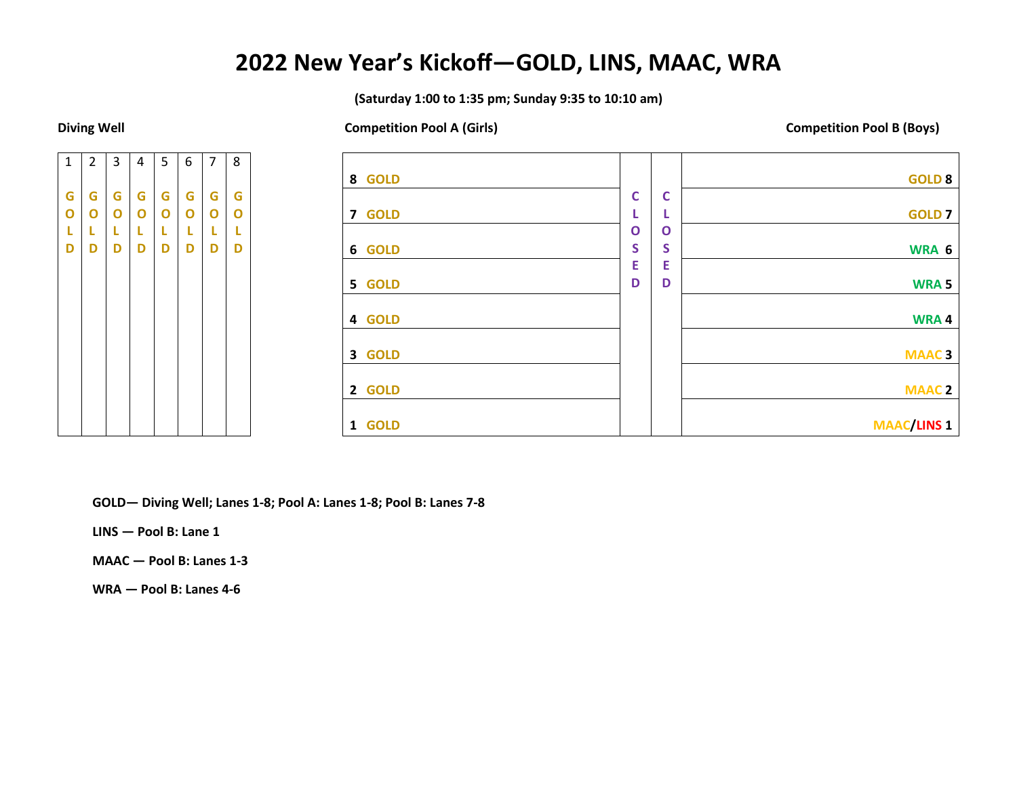## **2022 New Year's Kickoff—GOLD, LINS, MAAC, WRA**

**(Saturday 1:00 to 1:35 pm; Sunday 9:35 to 10:10 am)**

**Diving Well Competition Pool A (Girls) Competition Pool B (Boys)**

| $\overline{1}$ | $\mathbf 2$ | 3              | 4      | 5              | 6      | 7      | 8            |  |
|----------------|-------------|----------------|--------|----------------|--------|--------|--------------|--|
|                |             |                |        |                |        |        |              |  |
| G              | G           | G              |        | G              | G      | G      | G            |  |
| O              | O           | $\overline{O}$ | G<br>O | $\overline{O}$ | O      | O      | $\mathbf{o}$ |  |
| L<br>D         | L           | L<br>D         | L<br>D | L<br>D         | L<br>D | l<br>D | L            |  |
|                | D           |                |        |                |        |        | D            |  |
|                |             |                |        |                |        |        |              |  |
|                |             |                |        |                |        |        |              |  |
|                |             |                |        |                |        |        |              |  |
|                |             |                |        |                |        |        |              |  |
|                |             |                |        |                |        |        |              |  |
|                |             |                |        |                |        |        |              |  |
|                |             |                |        |                |        |        |              |  |
|                |             |                |        |                |        |        |              |  |
|                |             |                |        |                |        |        |              |  |
|                |             |                |        |                |        |        |              |  |

| 8 GOLD |              |              | <b>GOLD 8</b>      |
|--------|--------------|--------------|--------------------|
|        | $\mathsf{C}$ | $\mathbf c$  |                    |
| 7 GOLD | ι            |              | <b>GOLD 7</b>      |
|        | $\mathbf{o}$ | $\mathbf{o}$ |                    |
| 6 GOLD | S            | S            | WRA 6              |
|        | E            | E            |                    |
| 5 GOLD | D            | D            | <b>WRA5</b>        |
|        |              |              |                    |
| 4 GOLD |              |              | WRA4               |
|        |              |              |                    |
| 3 GOLD |              |              | <b>MAAC3</b>       |
|        |              |              |                    |
| 2 GOLD |              |              | <b>MAAC2</b>       |
|        |              |              |                    |
| 1 GOLD |              |              | <b>MAAC/LINS 1</b> |

**GOLD— Diving Well; Lanes 1-8; Pool A: Lanes 1-8; Pool B: Lanes 7-8**

**LINS — Pool B: Lane 1**

**MAAC — Pool B: Lanes 1-3**

**WRA — Pool B: Lanes 4-6**